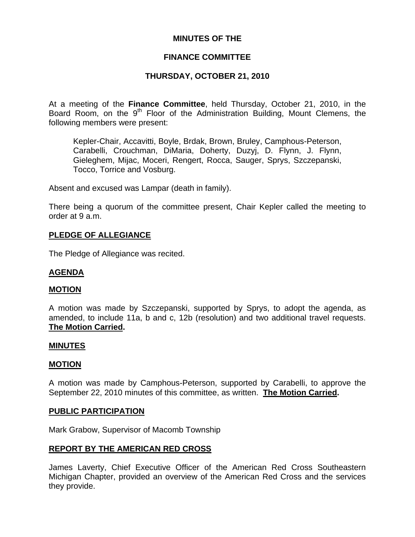# **MINUTES OF THE**

### **FINANCE COMMITTEE**

## **THURSDAY, OCTOBER 21, 2010**

At a meeting of the **Finance Committee**, held Thursday, October 21, 2010, in the Board Room, on the  $9<sup>th</sup>$  Floor of the Administration Building, Mount Clemens, the following members were present:

Kepler-Chair, Accavitti, Boyle, Brdak, Brown, Bruley, Camphous-Peterson, Carabelli, Crouchman, DiMaria, Doherty, Duzyj, D. Flynn, J. Flynn, Gieleghem, Mijac, Moceri, Rengert, Rocca, Sauger, Sprys, Szczepanski, Tocco, Torrice and Vosburg.

Absent and excused was Lampar (death in family).

There being a quorum of the committee present, Chair Kepler called the meeting to order at 9 a.m.

### **PLEDGE OF ALLEGIANCE**

The Pledge of Allegiance was recited.

#### **AGENDA**

#### **MOTION**

A motion was made by Szczepanski, supported by Sprys, to adopt the agenda, as amended, to include 11a, b and c, 12b (resolution) and two additional travel requests. **The Motion Carried.** 

#### **MINUTES**

#### **MOTION**

A motion was made by Camphous-Peterson, supported by Carabelli, to approve the September 22, 2010 minutes of this committee, as written. **The Motion Carried.** 

#### **PUBLIC PARTICIPATION**

Mark Grabow, Supervisor of Macomb Township

### **REPORT BY THE AMERICAN RED CROSS**

James Laverty, Chief Executive Officer of the American Red Cross Southeastern Michigan Chapter, provided an overview of the American Red Cross and the services they provide.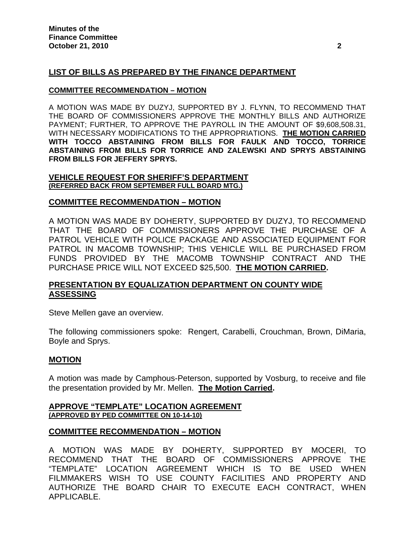# **LIST OF BILLS AS PREPARED BY THE FINANCE DEPARTMENT**

#### **COMMITTEE RECOMMENDATION – MOTION**

A MOTION WAS MADE BY DUZYJ, SUPPORTED BY J. FLYNN, TO RECOMMEND THAT THE BOARD OF COMMISSIONERS APPROVE THE MONTHLY BILLS AND AUTHORIZE PAYMENT; FURTHER, TO APPROVE THE PAYROLL IN THE AMOUNT OF \$9,608,508.31, WITH NECESSARY MODIFICATIONS TO THE APPROPRIATIONS. **THE MOTION CARRIED WITH TOCCO ABSTAINING FROM BILLS FOR FAULK AND TOCCO, TORRICE ABSTAINING FROM BILLS FOR TORRICE AND ZALEWSKI AND SPRYS ABSTAINING FROM BILLS FOR JEFFERY SPRYS.** 

#### **VEHICLE REQUEST FOR SHERIFF'S DEPARTMENT (REFERRED BACK FROM SEPTEMBER FULL BOARD MTG.)**

### **COMMITTEE RECOMMENDATION – MOTION**

A MOTION WAS MADE BY DOHERTY, SUPPORTED BY DUZYJ, TO RECOMMEND THAT THE BOARD OF COMMISSIONERS APPROVE THE PURCHASE OF A PATROL VEHICLE WITH POLICE PACKAGE AND ASSOCIATED EQUIPMENT FOR PATROL IN MACOMB TOWNSHIP; THIS VEHICLE WILL BE PURCHASED FROM FUNDS PROVIDED BY THE MACOMB TOWNSHIP CONTRACT AND THE PURCHASE PRICE WILL NOT EXCEED \$25,500. **THE MOTION CARRIED.** 

# **PRESENTATION BY EQUALIZATION DEPARTMENT ON COUNTY WIDE ASSESSING**

Steve Mellen gave an overview.

The following commissioners spoke: Rengert, Carabelli, Crouchman, Brown, DiMaria, Boyle and Sprys.

### **MOTION**

A motion was made by Camphous-Peterson, supported by Vosburg, to receive and file the presentation provided by Mr. Mellen. **The Motion Carried.** 

### **APPROVE "TEMPLATE" LOCATION AGREEMENT (APPROVED BY PED COMMITTEE ON 10-14-10)**

### **COMMITTEE RECOMMENDATION – MOTION**

A MOTION WAS MADE BY DOHERTY, SUPPORTED BY MOCERI, TO RECOMMEND THAT THE BOARD OF COMMISSIONERS APPROVE THE "TEMPLATE" LOCATION AGREEMENT WHICH IS TO BE USED WHEN FILMMAKERS WISH TO USE COUNTY FACILITIES AND PROPERTY AND AUTHORIZE THE BOARD CHAIR TO EXECUTE EACH CONTRACT, WHEN APPLICABLE.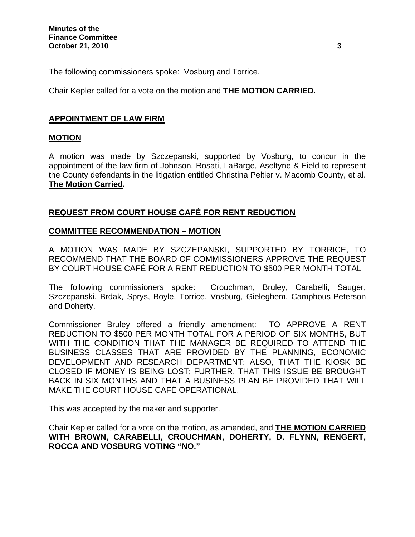The following commissioners spoke: Vosburg and Torrice.

Chair Kepler called for a vote on the motion and **THE MOTION CARRIED.** 

# **APPOINTMENT OF LAW FIRM**

### **MOTION**

A motion was made by Szczepanski, supported by Vosburg, to concur in the appointment of the law firm of Johnson, Rosati, LaBarge, Aseltyne & Field to represent the County defendants in the litigation entitled Christina Peltier v. Macomb County, et al. **The Motion Carried.** 

# **REQUEST FROM COURT HOUSE CAFÉ FOR RENT REDUCTION**

### **COMMITTEE RECOMMENDATION – MOTION**

A MOTION WAS MADE BY SZCZEPANSKI, SUPPORTED BY TORRICE, TO RECOMMEND THAT THE BOARD OF COMMISSIONERS APPROVE THE REQUEST BY COURT HOUSE CAFÉ FOR A RENT REDUCTION TO \$500 PER MONTH TOTAL

The following commissioners spoke: Crouchman, Bruley, Carabelli, Sauger, Szczepanski, Brdak, Sprys, Boyle, Torrice, Vosburg, Gieleghem, Camphous-Peterson and Doherty.

Commissioner Bruley offered a friendly amendment: TO APPROVE A RENT REDUCTION TO \$500 PER MONTH TOTAL FOR A PERIOD OF SIX MONTHS, BUT WITH THE CONDITION THAT THE MANAGER BE REQUIRED TO ATTEND THE BUSINESS CLASSES THAT ARE PROVIDED BY THE PLANNING, ECONOMIC DEVELOPMENT AND RESEARCH DEPARTMENT; ALSO, THAT THE KIOSK BE CLOSED IF MONEY IS BEING LOST; FURTHER, THAT THIS ISSUE BE BROUGHT BACK IN SIX MONTHS AND THAT A BUSINESS PLAN BE PROVIDED THAT WILL MAKE THE COURT HOUSE CAFÉ OPERATIONAL.

This was accepted by the maker and supporter.

Chair Kepler called for a vote on the motion, as amended, and **THE MOTION CARRIED WITH BROWN, CARABELLI, CROUCHMAN, DOHERTY, D. FLYNN, RENGERT, ROCCA AND VOSBURG VOTING "NO."**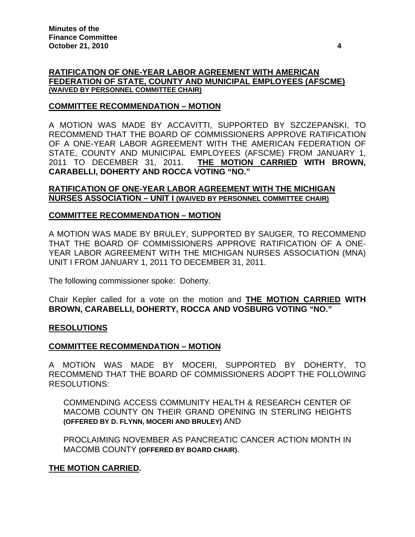### **RATIFICATION OF ONE-YEAR LABOR AGREEMENT WITH AMERICAN FEDERATION OF STATE, COUNTY AND MUNICIPAL EMPLOYEES (AFSCME) (WAIVED BY PERSONNEL COMMITTEE CHAIR)**

### **COMMITTEE RECOMMENDATION – MOTION**

A MOTION WAS MADE BY ACCAVITTI, SUPPORTED BY SZCZEPANSKI, TO RECOMMEND THAT THE BOARD OF COMMISSIONERS APPROVE RATIFICATION OF A ONE-YEAR LABOR AGREEMENT WITH THE AMERICAN FEDERATION OF STATE, COUNTY AND MUNICIPAL EMPLOYEES (AFSCME) FROM JANUARY 1, 2011 TO DECEMBER 31, 2011. **THE MOTION CARRIED WITH BROWN, CARABELLI, DOHERTY AND ROCCA VOTING "NO."** 

### **RATIFICATION OF ONE-YEAR LABOR AGREEMENT WITH THE MICHIGAN NURSES ASSOCIATION – UNIT I (WAIVED BY PERSONNEL COMMITTEE CHAIR)**

### **COMMITTEE RECOMMENDATION – MOTION**

A MOTION WAS MADE BY BRULEY, SUPPORTED BY SAUGER, TO RECOMMEND THAT THE BOARD OF COMMISSIONERS APPROVE RATIFICATION OF A ONE-YEAR LABOR AGREEMENT WITH THE MICHIGAN NURSES ASSOCIATION (MNA) UNIT I FROM JANUARY 1, 2011 TO DECEMBER 31, 2011.

The following commissioner spoke: Doherty.

Chair Kepler called for a vote on the motion and **THE MOTION CARRIED WITH BROWN, CARABELLI, DOHERTY, ROCCA AND VOSBURG VOTING "NO."** 

### **RESOLUTIONS**

### **COMMITTEE RECOMMENDATION – MOTION**

A MOTION WAS MADE BY MOCERI, SUPPORTED BY DOHERTY, TO RECOMMEND THAT THE BOARD OF COMMISSIONERS ADOPT THE FOLLOWING RESOLUTIONS:

COMMENDING ACCESS COMMUNITY HEALTH & RESEARCH CENTER OF MACOMB COUNTY ON THEIR GRAND OPENING IN STERLING HEIGHTS **(OFFERED BY D. FLYNN, MOCERI AND BRULEY)** AND

PROCLAIMING NOVEMBER AS PANCREATIC CANCER ACTION MONTH IN MACOMB COUNTY **(OFFERED BY BOARD CHAIR)**.

### **THE MOTION CARRIED.**